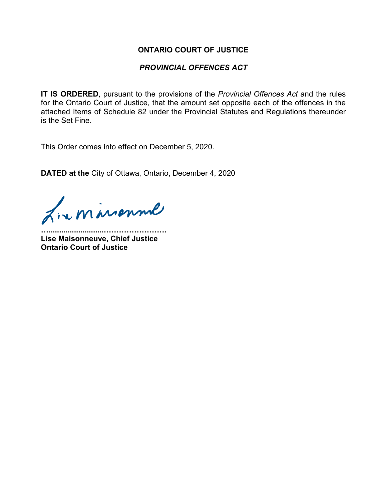### **ONTARIO COURT OF JUSTICE**

### *PROVINCIAL OFFENCES ACT*

**IT IS ORDERED**, pursuant to the provisions of the *Provincial Offences Act* and the rules for the Ontario Court of Justice, that the amount set opposite each of the offences in the attached Items of Schedule 82 under the Provincial Statutes and Regulations thereunder is the Set Fine.

This Order comes into effect on December 5, 2020.

**DATED at the** City of Ottawa, Ontario, December 4, 2020

Lixminsonne

**…..........................……………………. Lise Maisonneuve, Chief Justice Ontario Court of Justice**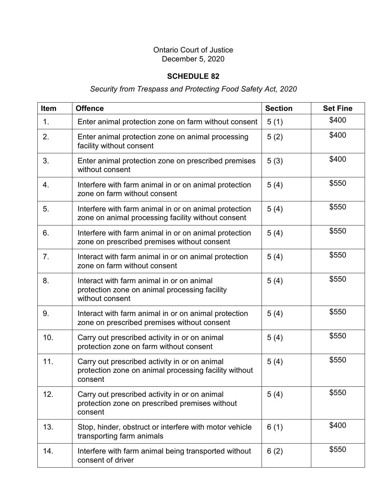### Ontario Court of Justice December 5, 2020

## **SCHEDULE 82**

# *Security from Trespass and Protecting Food Safety Act, 2020*

| <b>Item</b> | <b>Offence</b>                                                                                                    | <b>Section</b> | <b>Set Fine</b> |
|-------------|-------------------------------------------------------------------------------------------------------------------|----------------|-----------------|
| 1.          | Enter animal protection zone on farm without consent                                                              | 5(1)           | \$400           |
| 2.          | Enter animal protection zone on animal processing<br>facility without consent                                     | 5(2)           | \$400           |
| 3.          | Enter animal protection zone on prescribed premises<br>without consent                                            | 5(3)           | \$400           |
| 4.          | Interfere with farm animal in or on animal protection<br>zone on farm without consent                             | 5(4)           | \$550           |
| 5.          | Interfere with farm animal in or on animal protection<br>zone on animal processing facility without consent       | 5(4)           | \$550           |
| 6.          | Interfere with farm animal in or on animal protection<br>zone on prescribed premises without consent              | 5(4)           | \$550           |
| 7.          | Interact with farm animal in or on animal protection<br>zone on farm without consent                              | 5(4)           | \$550           |
| 8.          | Interact with farm animal in or on animal<br>protection zone on animal processing facility<br>without consent     | 5(4)           | \$550           |
| 9.          | Interact with farm animal in or on animal protection<br>zone on prescribed premises without consent               | 5(4)           | \$550           |
| 10.         | Carry out prescribed activity in or on animal<br>protection zone on farm without consent                          | 5(4)           | \$550           |
| 11.         | Carry out prescribed activity in or on animal<br>protection zone on animal processing facility without<br>consent | 5(4)           | \$550           |
| 12.         | Carry out prescribed activity in or on animal<br>protection zone on prescribed premises without<br>consent        | 5(4)           | \$550           |
| 13.         | Stop, hinder, obstruct or interfere with motor vehicle<br>transporting farm animals                               | 6(1)           | \$400           |
| 14.         | Interfere with farm animal being transported without<br>consent of driver                                         | 6(2)           | \$550           |